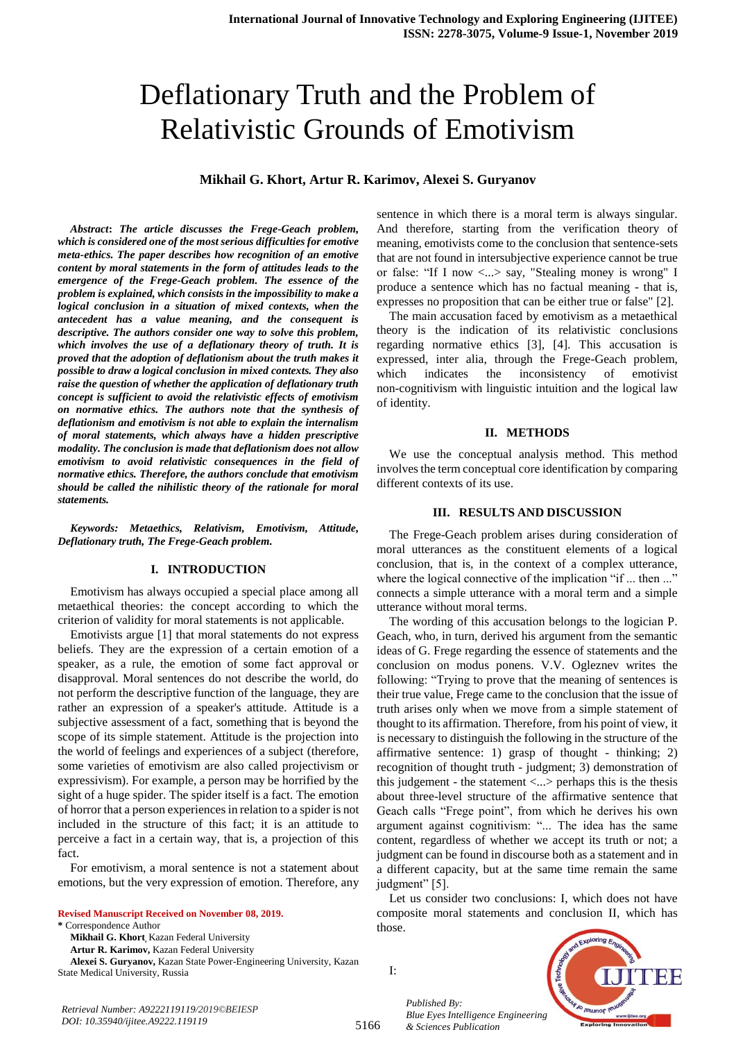# Deflationary Truth and the Problem of Relativistic Grounds of Emotivism

# **Mikhail G. Khort, Artur R. Karimov, Alexei S. Guryanov**

*Abstract***:** *The article discusses the Frege-Geach problem, which is considered one of the most serious difficulties for emotive meta-ethics. The paper describes how recognition of an emotive content by moral statements in the form of attitudes leads to the emergence of the Frege-Geach problem. The essence of the problem is explained, which consists in the impossibility to make a logical conclusion in a situation of mixed contexts, when the antecedent has a value meaning, and the consequent is descriptive. The authors consider one way to solve this problem, which involves the use of a deflationary theory of truth. It is proved that the adoption of deflationism about the truth makes it possible to draw a logical conclusion in mixed contexts. They also raise the question of whether the application of deflationary truth concept is sufficient to avoid the relativistic effects of emotivism on normative ethics. The authors note that the synthesis of deflationism and emotivism is not able to explain the internalism of moral statements, which always have a hidden prescriptive modality. The conclusion is made that deflationism does not allow emotivism to avoid relativistic consequences in the field of normative ethics. Therefore, the authors conclude that emotivism should be called the nihilistic theory of the rationale for moral statements.* 

*Keywords: Metaethics, Relativism, Emotivism, Attitude, Deflationary truth, The Frege-Geach problem.* 

#### **I. INTRODUCTION**

Emotivism has always occupied a special place among all metaethical theories: the concept according to which the criterion of validity for moral statements is not applicable.

Emotivists argue [1] that moral statements do not express beliefs. They are the expression of a certain emotion of a speaker, as a rule, the emotion of some fact approval or disapproval. Moral sentences do not describe the world, do not perform the descriptive function of the language, they are rather an expression of a speaker's attitude. Attitude is a subjective assessment of a fact, something that is beyond the scope of its simple statement. Attitude is the projection into the world of feelings and experiences of a subject (therefore, some varieties of emotivism are also called projectivism or expressivism). For example, a person may be horrified by the sight of a huge spider. The spider itself is a fact. The emotion of horror that a person experiences in relation to a spider is not included in the structure of this fact; it is an attitude to perceive a fact in a certain way, that is, a projection of this fact.

For emotivism, a moral sentence is not a statement about emotions, but the very expression of emotion. Therefore, any

**Revised Manuscript Received on November 08, 2019.**

**\*** Correspondence Author

**Mikhail G. Khort,** Kazan Federal University

**Artur R. Karimov,** Kazan Federal University

**Alexei S. Guryanov,** Kazan State Power-Engineering University, Kazan State Medical University, Russia

sentence in which there is a moral term is always singular. And therefore, starting from the verification theory of meaning, emotivists come to the conclusion that sentence-sets that are not found in intersubjective experience cannot be true or false: "If I now <...> say, "Stealing money is wrong" I produce a sentence which has no factual meaning - that is, expresses no proposition that can be either true or false" [2].

The main accusation faced by emotivism as a metaethical theory is the indication of its relativistic conclusions regarding normative ethics [3], [4]. This accusation is expressed, inter alia, through the Frege-Geach problem, which indicates the inconsistency of emotivist non-cognitivism with linguistic intuition and the logical law of identity.

#### **II. METHODS**

We use the conceptual analysis method. This method involves the term conceptual core identification by comparing different contexts of its use.

### **III. RESULTS AND DISCUSSION**

The Frege-Geach problem arises during consideration of moral utterances as the constituent elements of a logical conclusion, that is, in the context of a complex utterance, where the logical connective of the implication "if ... then ..." connects a simple utterance with a moral term and a simple utterance without moral terms.

The wording of this accusation belongs to the logician P. Geach, who, in turn, derived his argument from the semantic ideas of G. Frege regarding the essence of statements and the conclusion on modus ponens. V.V. Ogleznev writes the following: "Trying to prove that the meaning of sentences is their true value, Frege came to the conclusion that the issue of truth arises only when we move from a simple statement of thought to its affirmation. Therefore, from his point of view, it is necessary to distinguish the following in the structure of the affirmative sentence: 1) grasp of thought - thinking; 2) recognition of thought truth - judgment; 3) demonstration of this judgement - the statement <...> perhaps this is the thesis about three-level structure of the affirmative sentence that Geach calls "Frege point", from which he derives his own argument against cognitivism: "... The idea has the same content, regardless of whether we accept its truth or not; a judgment can be found in discourse both as a statement and in a different capacity, but at the same time remain the same judgment" [5].

Let us consider two conclusions: I, which does not have composite moral statements and conclusion II, which has those.

I:

*Published By:*

*& Sciences Publication* 



*Retrieval Number: A9222119119/2019©BEIESP DOI: 10.35940/ijitee.A9222.119119*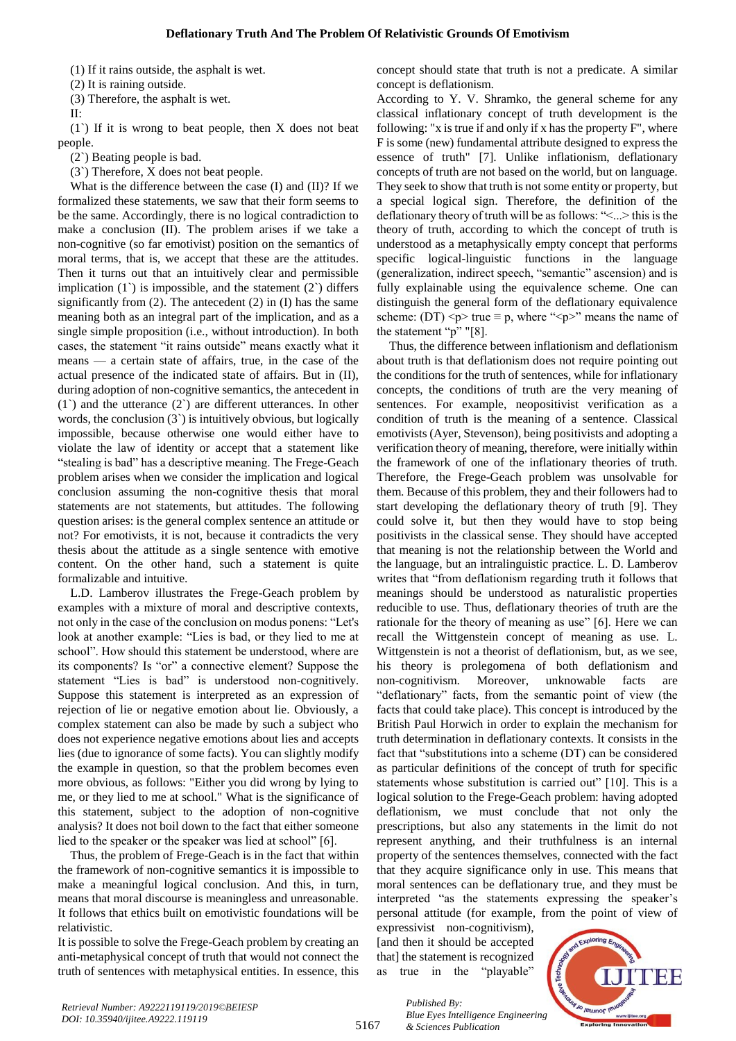(1) If it rains outside, the asphalt is wet.

(2) It is raining outside.

(3) Therefore, the asphalt is wet.

II:

(1`) If it is wrong to beat people, then X does not beat people.

(2`) Beating people is bad.

(3`) Therefore, X does not beat people.

What is the difference between the case (I) and (II)? If we formalized these statements, we saw that their form seems to be the same. Accordingly, there is no logical contradiction to make a conclusion (II). The problem arises if we take a non-cognitive (so far emotivist) position on the semantics of moral terms, that is, we accept that these are the attitudes. Then it turns out that an intuitively clear and permissible implication  $(1)$  is impossible, and the statement  $(2)$  differs significantly from  $(2)$ . The antecedent  $(2)$  in  $(I)$  has the same meaning both as an integral part of the implication, and as a single simple proposition (i.e., without introduction). In both cases, the statement "it rains outside" means exactly what it means — a certain state of affairs, true, in the case of the actual presence of the indicated state of affairs. But in (II), during adoption of non-cognitive semantics, the antecedent in  $(1)$  and the utterance  $(2)$  are different utterances. In other words, the conclusion  $(3)$  is intuitively obvious, but logically impossible, because otherwise one would either have to violate the law of identity or accept that a statement like "stealing is bad" has a descriptive meaning. The Frege-Geach problem arises when we consider the implication and logical conclusion assuming the non-cognitive thesis that moral statements are not statements, but attitudes. The following question arises: is the general complex sentence an attitude or not? For emotivists, it is not, because it contradicts the very thesis about the attitude as a single sentence with emotive content. On the other hand, such a statement is quite formalizable and intuitive.

L.D. Lamberov illustrates the Frege-Geach problem by examples with a mixture of moral and descriptive contexts, not only in the case of the conclusion on modus ponens: "Let's look at another example: "Lies is bad, or they lied to me at school". How should this statement be understood, where are its components? Is "or" a connective element? Suppose the statement "Lies is bad" is understood non-cognitively. Suppose this statement is interpreted as an expression of rejection of lie or negative emotion about lie. Obviously, a complex statement can also be made by such a subject who does not experience negative emotions about lies and accepts lies (due to ignorance of some facts). You can slightly modify the example in question, so that the problem becomes even more obvious, as follows: "Either you did wrong by lying to me, or they lied to me at school." What is the significance of this statement, subject to the adoption of non-cognitive analysis? It does not boil down to the fact that either someone lied to the speaker or the speaker was lied at school" [6].

Thus, the problem of Frege-Geach is in the fact that within the framework of non-cognitive semantics it is impossible to make a meaningful logical conclusion. And this, in turn, means that moral discourse is meaningless and unreasonable. It follows that ethics built on emotivistic foundations will be relativistic.

It is possible to solve the Frege-Geach problem by creating an anti-metaphysical concept of truth that would not connect the truth of sentences with metaphysical entities. In essence, this concept should state that truth is not a predicate. A similar concept is deflationism.

According to Y. V. Shramko, the general scheme for any classical inflationary concept of truth development is the following: "x is true if and only if x has the property F", where F is some (new) fundamental attribute designed to express the essence of truth" [7]. Unlike inflationism, deflationary concepts of truth are not based on the world, but on language. They seek to show that truth is not some entity or property, but a special logical sign. Therefore, the definition of the deflationary theory of truth will be as follows: "<...> this is the theory of truth, according to which the concept of truth is understood as a metaphysically empty concept that performs specific logical-linguistic functions in the language (generalization, indirect speech, "semantic" ascension) and is fully explainable using the equivalence scheme. One can distinguish the general form of the deflationary equivalence scheme: (DT)  $\langle p \rangle$  true  $\equiv p$ , where " $\langle p \rangle$ " means the name of the statement "p" "[8].

Thus, the difference between inflationism and deflationism about truth is that deflationism does not require pointing out the conditions for the truth of sentences, while for inflationary concepts, the conditions of truth are the very meaning of sentences. For example, neopositivist verification as a condition of truth is the meaning of a sentence. Classical emotivists (Ayer, Stevenson), being positivists and adopting a verification theory of meaning, therefore, were initially within the framework of one of the inflationary theories of truth. Therefore, the Frege-Geach problem was unsolvable for them. Because of this problem, they and their followers had to start developing the deflationary theory of truth [9]. They could solve it, but then they would have to stop being positivists in the classical sense. They should have accepted that meaning is not the relationship between the World and the language, but an intralinguistic practice. L. D. Lamberov writes that "from deflationism regarding truth it follows that meanings should be understood as naturalistic properties reducible to use. Thus, deflationary theories of truth are the rationale for the theory of meaning as use" [6]. Here we can recall the Wittgenstein concept of meaning as use. L. Wittgenstein is not a theorist of deflationism, but, as we see, his theory is prolegomena of both deflationism and non-cognitivism. Moreover, unknowable facts are "deflationary" facts, from the semantic point of view (the facts that could take place). This concept is introduced by the British Paul Horwich in order to explain the mechanism for truth determination in deflationary contexts. It consists in the fact that "substitutions into a scheme (DT) can be considered as particular definitions of the concept of truth for specific statements whose substitution is carried out" [10]. This is a logical solution to the Frege-Geach problem: having adopted deflationism, we must conclude that not only the prescriptions, but also any statements in the limit do not represent anything, and their truthfulness is an internal property of the sentences themselves, connected with the fact that they acquire significance only in use. This means that moral sentences can be deflationary true, and they must be interpreted "as the statements expressing the speaker's personal attitude (for example, from the point of view of

expressivist non-cognitivism), [and then it should be accepted that] the statement is recognized as true in the "playable"

*& Sciences Publication* 

*Published By:*



5167